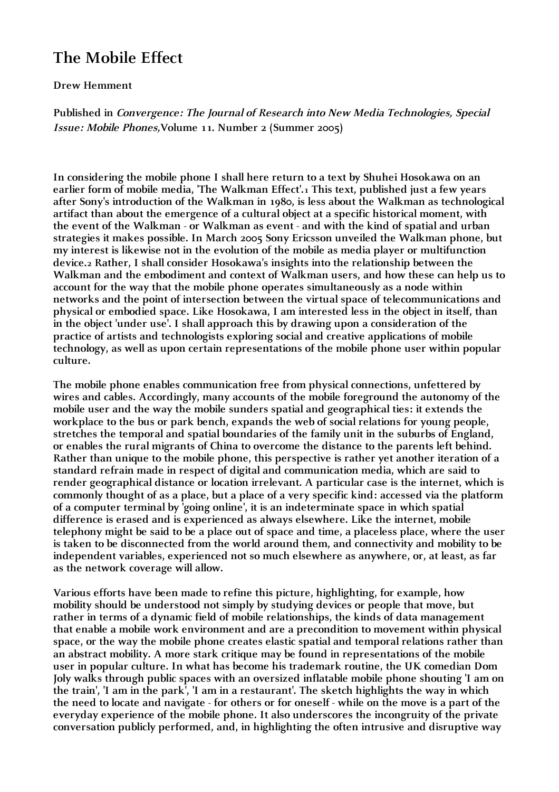## **The Mobile Effect**

## **Drew Hemment**

**Published in Convergence: The Journal of Research into New Media Technologies, Special Issue: Mobile Phones,Volume 11. Number 2 (Summer 2005)**

**In considering the mobile phone I shall here return to a text by Shuhei Hosokawa on an earlier form of mobile media, 'The Walkman Effect'.1 This text, published just a few years after Sony's introduction of the Walkman in 1980, is less about the Walkman as technological artifact than about the emergence of a cultural object at a specific historical moment, with the event of the Walkman - or Walkman as event - and with the kind of spatial and urban strategies it makes possible. In March 2005 Sony Ericsson unveiled the Walkman phone, but my interest is likewise not in the evolution of the mobile as media player or multifunction device.2 Rather, I shall consider Hosokawa's insights into the relationship between the Walkman and the embodiment and context of Walkman users, and how these can help us to account for the way that the mobile phone operates simultaneously as a node within networks and the point of intersection between the virtual space of telecommunications and physical or embodied space. Like Hosokawa, I am interested less in the object in itself, than in the object 'under use'. I shall approach this by drawing upon a consideration of the practice of artists and technologists exploring social and creative applications of mobile technology, as well as upon certain representations of the mobile phone user within popular culture.**

**The mobile phone enables communication free from physical connections, unfettered by wires and cables. Accordingly, many accounts of the mobile foreground the autonomy of the mobile user and the way the mobile sunders spatial and geographical ties: it extends the workplace to the bus or park bench, expands the web of social relations for young people, stretches the temporal and spatial boundaries of the family unit in the suburbs of England, or enables the rural migrants of China to overcome the distance to the parents left behind. Rather than unique to the mobile phone, this perspective is rather yet another iteration of a standard refrain made in respect of digital and communication media, which are said to render geographical distance or location irrelevant. A particular case is the internet, which is commonly thought of as a place, but a place of a very specific kind: accessed via the platform of a computer terminal by 'going online', it is an indeterminate space in which spatial difference is erased and is experienced as always elsewhere. Like the internet, mobile telephony might be said to be a place out of space and time, a placeless place, where the user is taken to be disconnected from the world around them, and connectivity and mobility to be independent variables, experienced not so much elsewhere as anywhere, or, at least, as far as the network coverage will allow.**

**Various efforts have been made to refine this picture, highlighting, for example, how mobility should be understood not simply by studying devices or people that move, but rather in terms of a dynamic field of mobile relationships, the kinds of data management that enable a mobile work environment and are a precondition to movement within physical space, or the way the mobile phone creates elastic spatial and temporal relations rather than an abstract mobility. A more stark critique may be found in representations of the mobile user in popular culture. In what has become his trademark routine, the UK comedian Dom Joly walks through public spaces with an oversized inflatable mobile phone shouting 'I am on the train', 'I am in the park', 'I am in a restaurant'. The sketch highlights the way in which the need to locate and navigate - for others or for oneself - while on the move is a part of the everyday experience of the mobile phone. It also underscores the incongruity of the private conversation publicly performed, and, in highlighting the often intrusive and disruptive way**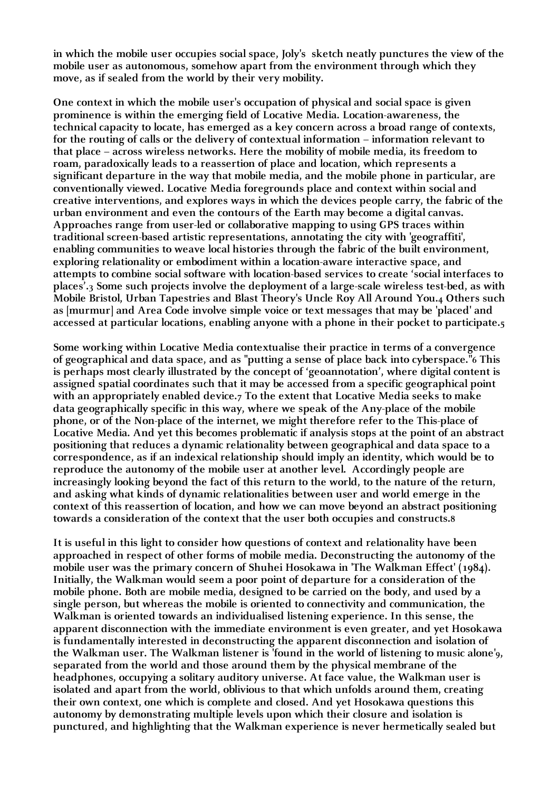**in which the mobile user occupies social space, Joly's sketch neatly punctures the view of the mobile user as autonomous, somehow apart from the environment through which they move, as if sealed from the world by their very mobility.**

**One context in which the mobile user's occupation of physical and social space is given prominence is within the emerging field of Locative Media. Location-awareness, the technical capacity to locate, has emerged as a key concern across a broad range of contexts, for the routing of calls or the delivery of contextual information – information relevant to that place – across wireless networks. Here the mobility of mobile media, its freedom to roam, paradoxically leads to a reassertion of place and location, which represents a significant departure in the way that mobile media, and the mobile phone in particular, are conventionally viewed. Locative Media foregrounds place and context within social and creative interventions, and explores ways in which the devices people carry, the fabric of the urban environment and even the contours of the Earth may become a digital canvas. Approaches range from user-led or collaborative mapping to using GPS traces within traditional screen-based artistic representations, annotating the city with 'geograffiti', enabling communities to weave local histories through the fabric of the built environment, exploring relationality or embodiment within a location-aware interactive space, and attempts to combine social software with location-based services to create 'social interfaces to places'.3 Some such projects involve the deployment of a large-scale wireless test-bed, as with Mobile Bristol, Urban Tapestries and Blast Theory's Uncle Roy All Around You.4 Others such as [murmur] and Area Code involve simple voice or text messages that may be 'placed' and accessed at particular locations, enabling anyone with a phone in their pocket to participate.5**

**Some working within Locative Media contextualise their practice in terms of a convergence of geographical and data space, and as "putting a sense of place back into cyberspace."6 This is perhaps most clearly illustrated by the concept of 'geoannotation', where digital content is assigned spatial coordinates such that it may be accessed from a specific geographical point**  with an appropriately enabled device.<sub>7</sub> To the extent that Locative Media seeks to make **data geographically specific in this way, where we speak of the Any-place of the mobile phone, or of the Non-place of the internet, we might therefore refer to the This-place of Locative Media. And yet this becomes problematic if analysis stops at the point of an abstract positioning that reduces a dynamic relationality between geographical and data space to a correspondence, as if an indexical relationship should imply an identity, which would be to reproduce the autonomy of the mobile user at another level. Accordingly people are increasingly looking beyond the fact of this return to the world, to the nature of the return, and asking what kinds of dynamic relationalities between user and world emerge in the context of this reassertion of location, and how we can move beyond an abstract positioning towards a consideration of the context that the user both occupies and constructs.8**

**It is useful in this light to consider how questions of context and relationality have been approached in respect of other forms of mobile media. Deconstructing the autonomy of the mobile user was the primary concern of Shuhei Hosokawa in 'The Walkman Effect' (1984). Initially, the Walkman would seem a poor point of departure for a consideration of the mobile phone. Both are mobile media, designed to be carried on the body, and used by a single person, but whereas the mobile is oriented to connectivity and communication, the Walkman is oriented towards an individualised listening experience. In this sense, the apparent disconnection with the immediate environment is even greater, and yet Hosokawa is fundamentally interested in deconstructing the apparent disconnection and isolation of the Walkman user. The Walkman listener is 'found in the world of listening to music alone'9, separated from the world and those around them by the physical membrane of the headphones, occupying a solitary auditory universe. At face value, the Walkman user is isolated and apart from the world, oblivious to that which unfolds around them, creating their own context, one which is complete and closed. And yet Hosokawa questions this autonomy by demonstrating multiple levels upon which their closure and isolation is punctured, and highlighting that the Walkman experience is never hermetically sealed but**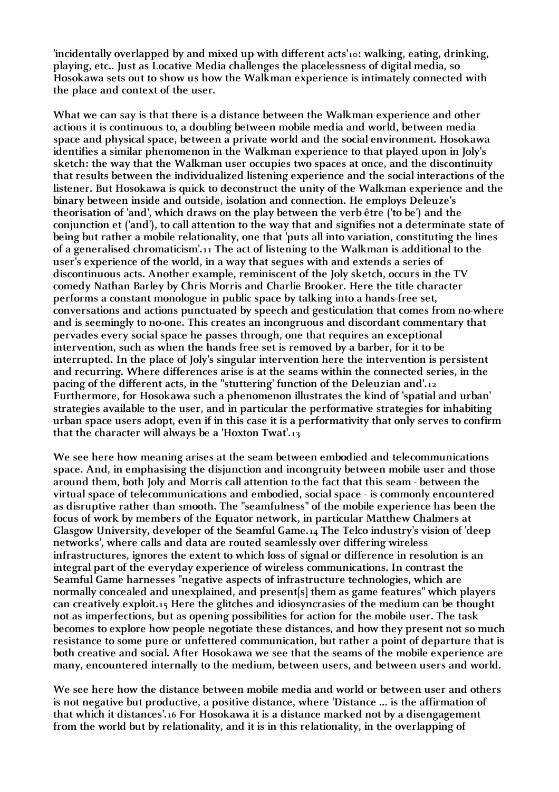**'incidentally overlapped by and mixed up with different acts'10: walking, eating, drinking, playing, etc.. Just as Locative Media challenges the placelessness of digital media, so Hosokawa sets out to show us how the Walkman experience is intimately connected with the place and context of the user.** 

**What we can say is that there is a distance between the Walkman experience and other actions it is continuous to, a doubling between mobile media and world, between media space and physical space, between a private world and the social environment. Hosokawa identifies a similar phenomenon in the Walkman experience to that played upon in Joly's sketch: the way that the Walkman user occupies two spaces at once, and the discontinuity that results between the individualized listening experience and the social interactions of the listener. But Hosokawa is quick to deconstruct the unity of the Walkman experience and the binary between inside and outside, isolation and connection. He employs Deleuze's theorisation of 'and', which draws on the play between the verb être ('to be') and the conjunction et ('and'), to call attention to the way that and signifies not a determinate state of being but rather a mobile relationality, one that 'puts all into variation, constituting the lines of a generalised chromaticism'.11 The act of listening to the Walkman is additional to the user's experience of the world, in a way that segues with and extends a series of discontinuous acts. Another example, reminiscent of the Joly sketch, occurs in the TV comedy Nathan Barley by Chris Morris and Charlie Brooker. Here the title character performs a constant monologue in public space by talking into a hands-free set, conversations and actions punctuated by speech and gesticulation that comes from no-where and is seemingly to no-one. This creates an incongruous and discordant commentary that pervades every social space he passes through, one that requires an exceptional intervention, such as when the hands free set is removed by a barber, for it to be interrupted. In the place of Joly's singular intervention here the intervention is persistent and recurring. Where differences arise is at the seams within the connected series, in the pacing of the different acts, in the ''stuttering' function of the Deleuzian and'.12 Furthermore, for Hosokawa such a phenomenon illustrates the kind of 'spatial and urban' strategies available to the user, and in particular the performative strategies for inhabiting urban space users adopt, even if in this case it is a performativity that only serves to confirm that the character will always be a 'Hoxton Twat'.13**

**We see here how meaning arises at the seam between embodied and telecommunications space. And, in emphasising the disjunction and incongruity between mobile user and those around them, both Joly and Morris call attention to the fact that this seam - between the virtual space of telecommunications and embodied, social space - is commonly encountered as disruptive rather than smooth. The "seamfulness" of the mobile experience has been the focus of work by members of the Equator network, in particular Matthew Chalmers at Glasgow University, developer of the Seamful Game.14 The Telco industry's vision of 'deep networks', where calls and data are routed seamlessly over differing wireless infrastructures, ignores the extent to which loss of signal or difference in resolution is an integral part of the everyday experience of wireless communications. In contrast the Seamful Game harnesses "negative aspects of infrastructure technologies, which are normally concealed and unexplained, and present[s] them as game features" which players can creatively exploit.15 Here the glitches and idiosyncrasies of the medium can be thought not as imperfections, but as opening possibilities for action for the mobile user. The task becomes to explore how people negotiate these distances, and how they present not so much resistance to some pure or unfettered communication, but rather a point of departure that is both creative and social. After Hosokawa we see that the seams of the mobile experience are many, encountered internally to the medium, between users, and between users and world.**

**We see here how the distance between mobile media and world or between user and others is not negative but productive, a positive distance, where 'Distance ... is the affirmation of that which it distances'.16 For Hosokawa it is a distance marked not by a disengagement from the world but by relationality, and it is in this relationality, in the overlapping of**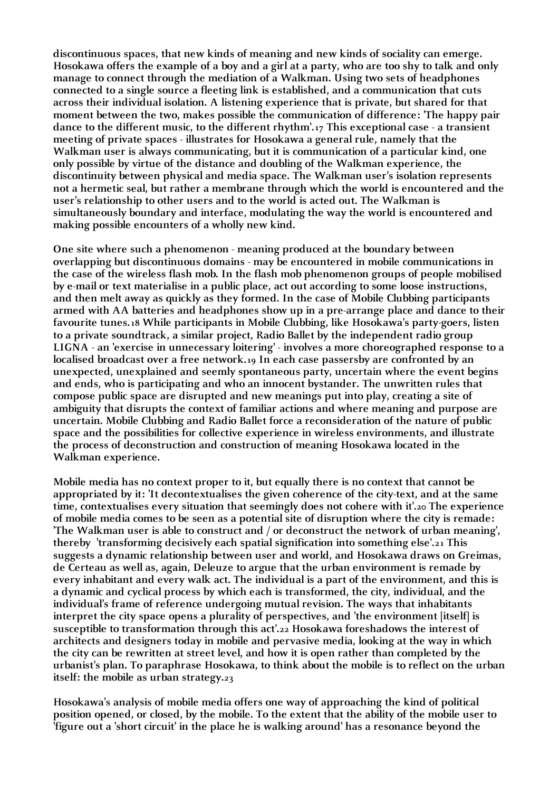**discontinuous spaces, that new kinds of meaning and new kinds of sociality can emerge. Hosokawa offers the example of a boy and a girl at a party, who are too shy to talk and only manage to connect through the mediation of a Walkman. Using two sets of headphones connected to a single source a fleeting link is established, and a communication that cuts across their individual isolation. A listening experience that is private, but shared for that moment between the two, makes possible the communication of difference: 'The happy pair dance to the different music, to the different rhythm'.17 This exceptional case - a transient meeting of private spaces - illustrates for Hosokawa a general rule, namely that the Walkman user is always communicating, but it is communication of a particular kind, one only possible by virtue of the distance and doubling of the Walkman experience, the discontinuity between physical and media space. The Walkman user's isolation represents not a hermetic seal, but rather a membrane through which the world is encountered and the user's relationship to other users and to the world is acted out. The Walkman is simultaneously boundary and interface, modulating the way the world is encountered and making possible encounters of a wholly new kind.**

**One site where such a phenomenon - meaning produced at the boundary between overlapping but discontinuous domains - may be encountered in mobile communications in the case of the wireless flash mob. In the flash mob phenomenon groups of people mobilised by e-mail or text materialise in a public place, act out according to some loose instructions, and then melt away as quickly as they formed. In the case of Mobile Clubbing participants armed with AA batteries and headphones show up in a pre-arrange place and dance to their favourite tunes.18 While participants in Mobile Clubbing, like Hosokawa's party-goers, listen to a private soundtrack, a similar project, Radio Ballet by the independent radio group LIGNA - an 'exercise in unnecessary loitering' - involves a more choreographed response to a localised broadcast over a free network.19 In each case passersby are confronted by an unexpected, unexplained and seemly spontaneous party, uncertain where the event begins and ends, who is participating and who an innocent bystander. The unwritten rules that compose public space are disrupted and new meanings put into play, creating a site of ambiguity that disrupts the context of familiar actions and where meaning and purpose are uncertain. Mobile Clubbing and Radio Ballet force a reconsideration of the nature of public space and the possibilities for collective experience in wireless environments, and illustrate the process of deconstruction and construction of meaning Hosokawa located in the Walkman experience.**

**Mobile media has no context proper to it, but equally there is no context that cannot be appropriated by it: 'It decontextualises the given coherence of the city-text, and at the same time, contextualises every situation that seemingly does not cohere with it'.20 The experience of mobile media comes to be seen as a potential site of disruption where the city is remade: 'The Walkman user is able to construct and / or deconstruct the network of urban meaning', thereby 'transforming decisively each spatial signification into something else'.21 This suggests a dynamic relationship between user and world, and Hosokawa draws on Greimas, de Certeau as well as, again, Deleuze to argue that the urban environment is remade by every inhabitant and every walk act. The individual is a part of the environment, and this is a dynamic and cyclical process by which each is transformed, the city, individual, and the individual's frame of reference undergoing mutual revision. The ways that inhabitants interpret the city space opens a plurality of perspectives, and 'the environment [itself] is susceptible to transformation through this act'.22 Hosokawa foreshadows the interest of architects and designers today in mobile and pervasive media, looking at the way in which the city can be rewritten at street level, and how it is open rather than completed by the urbanist's plan. To paraphrase Hosokawa, to think about the mobile is to reflect on the urban itself: the mobile as urban strategy.23**

**Hosokawa's analysis of mobile media offers one way of approaching the kind of political position opened, or closed, by the mobile. To the extent that the ability of the mobile user to 'figure out a 'short circuit' in the place he is walking around' has a resonance beyond the**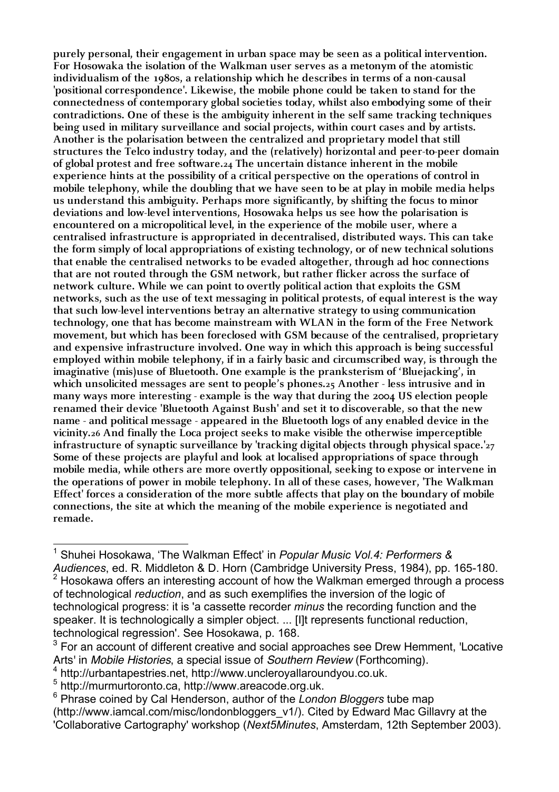**purely personal, their engagement in urban space may be seen as a political intervention. For Hosowaka the isolation of the Walkman user serves as a metonym of the atomistic individualism of the 1980s, a relationship which he describes in terms of a non-causal 'positional correspondence'. Likewise, the mobile phone could be taken to stand for the connectedness of contemporary global societies today, whilst also embodying some of their contradictions. One of these is the ambiguity inherent in the self same tracking techniques being used in military surveillance and social projects, within court cases and by artists. Another is the polarisation between the centralized and proprietary model that still structures the Telco industry today, and the (relatively) horizontal and peer-to-peer domain of global protest and free software.24 The uncertain distance inherent in the mobile experience hints at the possibility of a critical perspective on the operations of control in mobile telephony, while the doubling that we have seen to be at play in mobile media helps us understand this ambiguity. Perhaps more significantly, by shifting the focus to minor deviations and low-level interventions, Hosowaka helps us see how the polarisation is encountered on a micropolitical level, in the experience of the mobile user, where a centralised infrastructure is appropriated in decentralised, distributed ways. This can take the form simply of local appropriations of existing technology, or of new technical solutions that enable the centralised networks to be evaded altogether, through ad hoc connections that are not routed through the GSM network, but rather flicker across the surface of network culture. While we can point to overtly political action that exploits the GSM networks, such as the use of text messaging in political protests, of equal interest is the way that such low-level interventions betray an alternative strategy to using communication technology, one that has become mainstream with WLAN in the form of the Free Network movement, but which has been foreclosed with GSM because of the centralised, proprietary and expensive infrastructure involved. One way in which this approach is being successful employed within mobile telephony, if in a fairly basic and circumscribed way, is through the imaginative (mis)use of Bluetooth. One example is the pranksterism of 'Bluejacking', in which unsolicited messages are sent to people's phones.25 Another - less intrusive and in many ways more interesting - example is the way that during the 2004 US election people renamed their device 'Bluetooth Against Bush' and set it to discoverable, so that the new name - and political message - appeared in the Bluetooth logs of any enabled device in the vicinity.26 And finally the Loca project seeks to make visible the otherwise imperceptible infrastructure of synaptic surveillance by 'tracking digital objects through physical space.'27 Some of these projects are playful and look at localised appropriations of space through mobile media, while others are more overtly oppositional, seeking to expose or intervene in the operations of power in mobile telephony. In all of these cases, however, 'The Walkman Effect' forces a consideration of the more subtle affects that play on the boundary of mobile connections, the site at which the meaning of the mobile experience is negotiated and remade.**

<sup>|&</sup>lt;br>1 Shuhei Hosokawa, 'The Walkman Effect' in *Popular Music Vol.4: Performers & Audiences*, ed. R. Middleton & D. Horn (Cambridge University Press, 1984), pp. 165-180.  $2$  Hosokawa offers an interesting account of how the Walkman emerged through a process of technological *reduction*, and as such exemplifies the inversion of the logic of technological progress: it is 'a cassette recorder *minus* the recording function and the speaker. It is technologically a simpler object. ... [I]t represents functional reduction, technological regression'. See Hosokawa, p. 168.

 $3$  For an account of different creative and social approaches see Drew Hemment, 'Locative Arts' in *Mobile Histories*, a special issue of *Southern Review* (Forthcoming). <sup>4</sup> http://urbantapestries.net, http://www.uncleroyallaroundyou.co.uk.

<sup>5</sup> http://murmurtoronto.ca, http://www.areacode.org.uk.

<sup>6</sup> Phrase coined by Cal Henderson, author of the *London Bloggers* tube map (http://www.iamcal.com/misc/londonbloggers\_v1/). Cited by Edward Mac Gillavry at the 'Collaborative Cartography' workshop (*Next5Minutes*, Amsterdam, 12th September 2003).